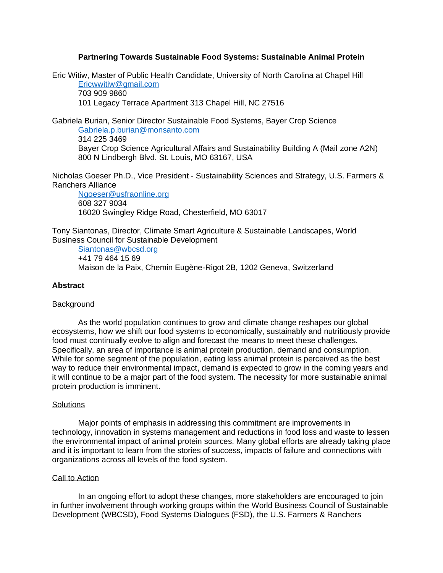# **Partnering Towards Sustainable Food Systems: Sustainable Animal Protein**

Eric Witiw, Master of Public Health Candidate, University of North Carolina at Chapel Hill [Ericwwitiw@gmail.com](mailto:Ericwwitiw@gmail.com) 703 909 9860

101 Legacy Terrace Apartment 313 Chapel Hill, NC 27516

Gabriela Burian, Senior Director Sustainable Food Systems, Bayer Crop Science [Gabriela.p.burian@monsanto.com](mailto:Gabriela.p.burian@monsanto.com) 314 225 3469 Bayer Crop Science Agricultural Affairs and Sustainability Building A (Mail zone A2N) 800 N Lindbergh Blvd. St. Louis, MO 63167, USA

Nicholas Goeser Ph.D., Vice President - Sustainability Sciences and Strategy, U.S. Farmers & Ranchers Alliance

[Ngoeser@usfraonline.org](mailto:Ngoeser@usfraonline.org) 608 327 9034 16020 Swingley Ridge Road, Chesterfield, MO 63017

Tony Siantonas, Director, Climate Smart Agriculture & Sustainable Landscapes, World Business Council for Sustainable Development

[Siantonas@wbcsd.org](mailto:Siantonas@wbcsd.org) +41 79 464 15 69 Maison de la Paix, Chemin Eugène-Rigot 2B, 1202 Geneva, Switzerland

# **Abstract**

## **Background**

As the world population continues to grow and climate change reshapes our global ecosystems, how we shift our food systems to economically, sustainably and nutritiously provide food must continually evolve to align and forecast the means to meet these challenges. Specifically, an area of importance is animal protein production, demand and consumption. While for some segment of the population, eating less animal protein is perceived as the best way to reduce their environmental impact, demand is expected to grow in the coming years and it will continue to be a major part of the food system. The necessity for more sustainable animal protein production is imminent.

### **Solutions**

Major points of emphasis in addressing this commitment are improvements in technology, innovation in systems management and reductions in food loss and waste to lessen the environmental impact of animal protein sources. Many global efforts are already taking place and it is important to learn from the stories of success, impacts of failure and connections with organizations across all levels of the food system.

### Call to Action

In an ongoing effort to adopt these changes, more stakeholders are encouraged to join in further involvement through working groups within the World Business Council of Sustainable Development (WBCSD), Food Systems Dialogues (FSD), the U.S. Farmers & Ranchers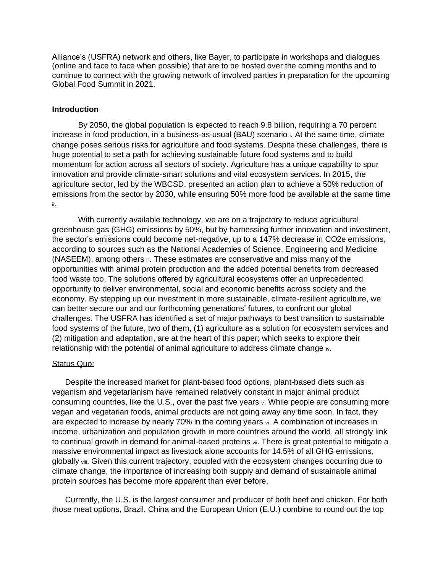Alliance's (USFRA) network and others, like Bayer, to participate in workshops and dialogues (online and face to face when possible) that are to be hosted over the coming months and to continue to connect with the growing network of involved parties in preparation for the upcoming Global Food Summit in 2021.

### **Introduction**

By 2050, the global population is expected to reach 9.8 billion, requiring a 70 percent increase in food production, in a business-as-usual (BAU) scenario <sup>i</sup>. At the same time, climate change poses serious risks for agriculture and food systems. Despite these challenges, there is huge potential to set a path for achieving sustainable future food systems and to build momentum for action across all sectors of society. Agriculture has a unique capability to spur innovation and provide climate-smart solutions and vital ecosystem services. In 2015, the agriculture sector, led by the WBCSD, presented an action plan to achieve a 50% reduction of emissions from the sector by 2030, while ensuring 50% more food be available at the same time ii.

With currently available technology, we are on a trajectory to reduce agricultural greenhouse gas (GHG) emissions by 50%, but by harnessing further innovation and investment, the sector's emissions could become net-negative, up to a 147% decrease in CO2e emissions, according to sources such as the National Academies of Science, Engineering and Medicine (NASEEM), among others iii. These estimates are conservative and miss many of the opportunities with animal protein production and the added potential benefits from decreased food waste too. The solutions offered by agricultural ecosystems offer an unprecedented opportunity to deliver environmental, social and economic benefits across society and the economy. By stepping up our investment in more sustainable, climate-resilient agriculture, we can better secure our and our forthcoming generations' futures, to confront our global challenges. The USFRA has identified a set of major pathways to best transition to sustainable food systems of the future, two of them, (1) agriculture as a solution for ecosystem services and (2) mitigation and adaptation, are at the heart of this paper; which seeks to explore their relationship with the potential of animal agriculture to address climate change iv.

### Status Quo:

Despite the increased market for plant-based food options, plant-based diets such as veganism and vegetarianism have remained relatively constant in major animal product consuming countries, like the U.S., over the past five years v. While people are consuming more vegan and vegetarian foods, animal products are not going away any time soon. In fact, they are expected to increase by nearly 70% in the coming years vi. A combination of increases in income, urbanization and population growth in more countries around the world, all strongly link to continual growth in demand for animal-based proteins vii. There is great potential to mitigate a massive environmental impact as livestock alone accounts for 14.5% of all GHG emissions, globally viii. Given this current trajectory, coupled with the ecosystem changes occurring due to climate change, the importance of increasing both supply and demand of sustainable animal protein sources has become more apparent than ever before.

Currently, the U.S. is the largest consumer and producer of both beef and chicken. For both those meat options, Brazil, China and the European Union (E.U.) combine to round out the top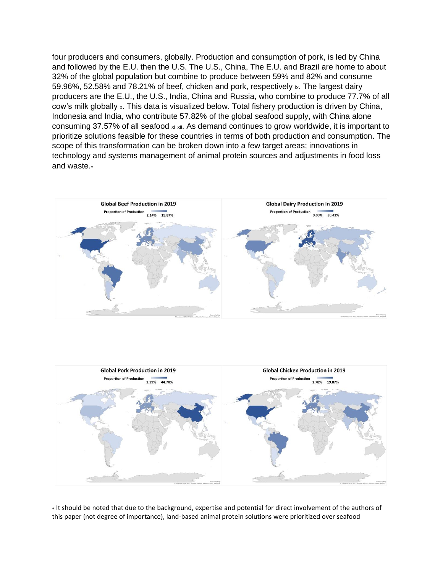four producers and consumers, globally. Production and consumption of pork, is led by China and followed by the E.U. then the U.S. The U.S., China, The E.U. and Brazil are home to about 32% of the global population but combine to produce between 59% and 82% and consume 59.96%, 52.58% and 78.21% of beef, chicken and pork, respectively ix. The largest dairy producers are the E.U., the U.S., India, China and Russia, who combine to produce 77.7% of all cow's milk globally x. This data is visualized below. Total fishery production is driven by China, Indonesia and India, who contribute 57.82% of the global seafood supply, with China alone consuming 37.57% of all seafood xi xii. As demand continues to grow worldwide, it is important to prioritize solutions feasible for these countries in terms of both production and consumption. The scope of this transformation can be broken down into a few target areas; innovations in technology and systems management of animal protein sources and adjustments in food loss and waste.





It should be noted that due to the background, expertise and potential for direct involvement of the authors of this paper (not degree of importance), land-based animal protein solutions were prioritized over seafood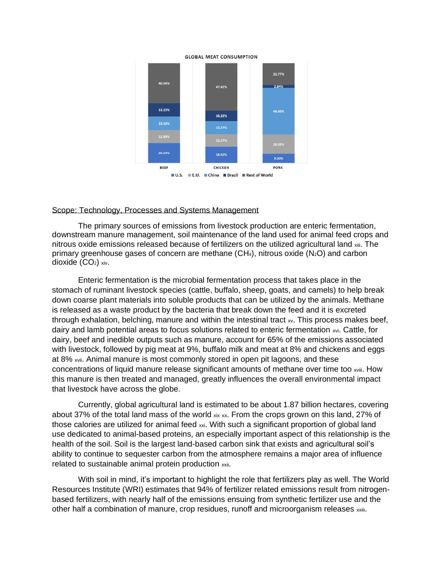

#### **GLOBAL MEAT CONSUMPTION**

### Scope: Technology, Processes and Systems Management

The primary sources of emissions from livestock production are enteric fermentation, downstream manure management, soil maintenance of the land used for animal feed crops and nitrous oxide emissions released because of fertilizers on the utilized agricultural land xiii. The primary greenhouse gases of concern are methane  $(CH_4)$ , nitrous oxide  $(N_2O)$  and carbon dioxide  $(CO<sub>2</sub>)$  xiv.

Enteric fermentation is the microbial fermentation process that takes place in the stomach of ruminant livestock species (cattle, buffalo, sheep, goats, and camels) to help break down coarse plant materials into soluble products that can be utilized by the animals. Methane is released as a waste product by the bacteria that break down the feed and it is excreted through exhalation, belching, manure and within the intestinal tract xv. This process makes beef, dairy and lamb potential areas to focus solutions related to enteric fermentation xvi. Cattle, for dairy, beef and inedible outputs such as manure, account for 65% of the emissions associated with livestock, followed by pig meat at 9%, buffalo milk and meat at 8% and chickens and eggs at 8% xvii. Animal manure is most commonly stored in open pit lagoons, and these concentrations of liquid manure release significant amounts of methane over time too xviii. How this manure is then treated and managed, greatly influences the overall environmental impact that livestock have across the globe.

Currently, global agricultural land is estimated to be about 1.87 billion hectares, covering about 37% of the total land mass of the world xix xx. From the crops grown on this land, 27% of those calories are utilized for animal feed xxi. With such a significant proportion of global land use dedicated to animal-based proteins, an especially important aspect of this relationship is the health of the soil. Soil is the largest land-based carbon sink that exists and agricultural soil's ability to continue to sequester carbon from the atmosphere remains a major area of influence related to sustainable animal protein production xxii.

With soil in mind, it's important to highlight the role that fertilizers play as well. The World Resources Institute (WRI) estimates that 94% of fertilizer related emissions result from nitrogenbased fertilizers, with nearly half of the emissions ensuing from synthetic fertilizer use and the other half a combination of manure, crop residues, runoff and microorganism releases xxiii.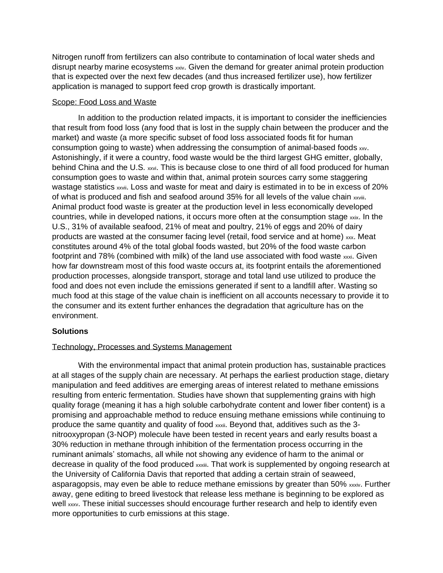Nitrogen runoff from fertilizers can also contribute to contamination of local water sheds and disrupt nearby marine ecosystems xxiv. Given the demand for greater animal protein production that is expected over the next few decades (and thus increased fertilizer use), how fertilizer application is managed to support feed crop growth is drastically important.

# Scope: Food Loss and Waste

In addition to the production related impacts, it is important to consider the inefficiencies that result from food loss (any food that is lost in the supply chain between the producer and the market) and waste (a more specific subset of food loss associated foods fit for human consumption going to waste) when addressing the consumption of animal-based foods xxv. Astonishingly, if it were a country, food waste would be the third largest GHG emitter, globally, behind China and the U.S. xxvi. This is because close to one third of all food produced for human consumption goes to waste and within that, animal protein sources carry some staggering wastage statistics xxvii. Loss and waste for meat and dairy is estimated in to be in excess of 20% of what is produced and fish and seafood around 35% for all levels of the value chain xxviii. Animal product food waste is greater at the production level in less economically developed countries, while in developed nations, it occurs more often at the consumption stage  $_{\text{xxx}}$ . In the U.S., 31% of available seafood, 21% of meat and poultry, 21% of eggs and 20% of dairy products are wasted at the consumer facing level (retail, food service and at home) xxx. Meat constitutes around 4% of the total global foods wasted, but 20% of the food waste carbon footprint and 78% (combined with milk) of the land use associated with food waste xxxi. Given how far downstream most of this food waste occurs at, its footprint entails the aforementioned production processes, alongside transport, storage and total land use utilized to produce the food and does not even include the emissions generated if sent to a landfill after. Wasting so much food at this stage of the value chain is inefficient on all accounts necessary to provide it to the consumer and its extent further enhances the degradation that agriculture has on the environment.

# **Solutions**

## Technology, Processes and Systems Management

With the environmental impact that animal protein production has, sustainable practices at all stages of the supply chain are necessary. At perhaps the earliest production stage, dietary manipulation and feed additives are emerging areas of interest related to methane emissions resulting from enteric fermentation. Studies have shown that supplementing grains with high quality forage (meaning it has a high soluble carbohydrate content and lower fiber content) is a promising and approachable method to reduce ensuing methane emissions while continuing to produce the same quantity and quality of food xxxii. Beyond that, additives such as the 3 nitrooxypropan (3-NOP) molecule have been tested in recent years and early results boast a 30% reduction in methane through inhibition of the fermentation process occurring in the ruminant animals' stomachs, all while not showing any evidence of harm to the animal or decrease in quality of the food produced xxxiii. That work is supplemented by ongoing research at the University of California Davis that reported that adding a certain strain of seaweed, asparagopsis, may even be able to reduce methane emissions by greater than 50% xxxiv. Further away, gene editing to breed livestock that release less methane is beginning to be explored as well xxxv. These initial successes should encourage further research and help to identify even more opportunities to curb emissions at this stage.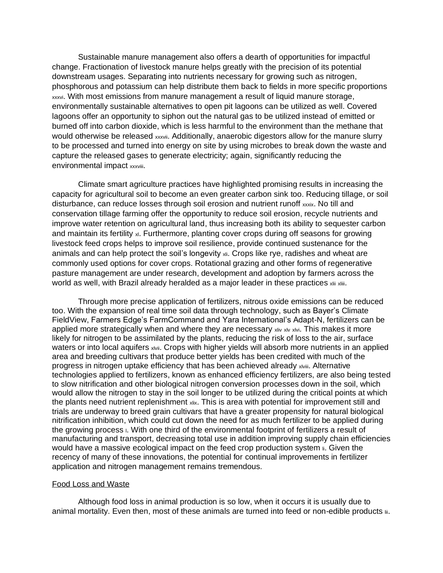Sustainable manure management also offers a dearth of opportunities for impactful change. Fractionation of livestock manure helps greatly with the precision of its potential downstream usages. Separating into nutrients necessary for growing such as nitrogen, phosphorous and potassium can help distribute them back to fields in more specific proportions xxxvi. With most emissions from manure management a result of liquid manure storage, environmentally sustainable alternatives to open pit lagoons can be utilized as well. Covered lagoons offer an opportunity to siphon out the natural gas to be utilized instead of emitted or burned off into carbon dioxide, which is less harmful to the environment than the methane that would otherwise be released xxxvii. Additionally, anaerobic digestors allow for the manure slurry to be processed and turned into energy on site by using microbes to break down the waste and capture the released gases to generate electricity; again, significantly reducing the environmental impact xxxviii.

Climate smart agriculture practices have highlighted promising results in increasing the capacity for agricultural soil to become an even greater carbon sink too. Reducing tillage, or soil disturbance, can reduce losses through soil erosion and nutrient runoff xxxix. No till and conservation tillage farming offer the opportunity to reduce soil erosion, recycle nutrients and improve water retention on agricultural land, thus increasing both its ability to sequester carbon and maintain its fertility xl. Furthermore, planting cover crops during off seasons for growing livestock feed crops helps to improve soil resilience, provide continued sustenance for the animals and can help protect the soil's longevity xii. Crops like rye, radishes and wheat are commonly used options for cover crops. Rotational grazing and other forms of regenerative pasture management are under research, development and adoption by farmers across the world as well, with Brazil already heralded as a major leader in these practices xlii xliii.

Through more precise application of fertilizers, nitrous oxide emissions can be reduced too. With the expansion of real time soil data through technology, such as Bayer's Climate FieldView, Farmers Edge's FarmCommand and Yara International's Adapt-N, fertilizers can be applied more strategically when and where they are necessary xliv xlv xlvi. This makes it more likely for nitrogen to be assimilated by the plants, reducing the risk of loss to the air, surface waters or into local aquifers xlvii. Crops with higher yields will absorb more nutrients in an applied area and breeding cultivars that produce better yields has been credited with much of the progress in nitrogen uptake efficiency that has been achieved already xlviii. Alternative technologies applied to fertilizers, known as enhanced efficiency fertilizers, are also being tested to slow nitrification and other biological nitrogen conversion processes down in the soil, which would allow the nitrogen to stay in the soil longer to be utilized during the critical points at which the plants need nutrient replenishment xlix. This is area with potential for improvement still and trials are underway to breed grain cultivars that have a greater propensity for natural biological nitrification inhibition, which could cut down the need for as much fertilizer to be applied during the growing process  $\mathsf{L}$ . With one third of the environmental footprint of fertilizers a result of manufacturing and transport, decreasing total use in addition improving supply chain efficiencies would have a massive ecological impact on the feed crop production system **i**. Given the recency of many of these innovations, the potential for continual improvements in fertilizer application and nitrogen management remains tremendous.

### Food Loss and Waste

Although food loss in animal production is so low, when it occurs it is usually due to animal mortality. Even then, most of these animals are turned into feed or non-edible products ii.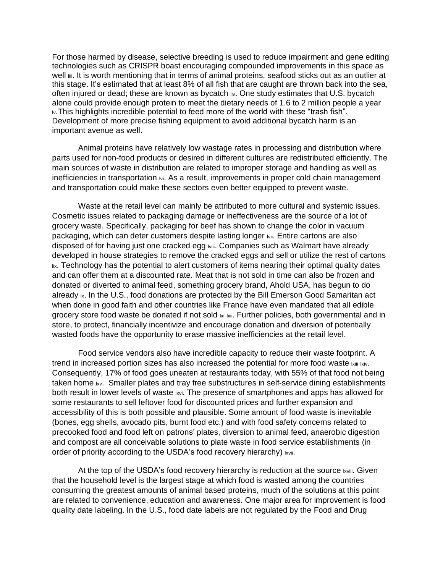For those harmed by disease, selective breeding is used to reduce impairment and gene editing technologies such as CRISPR boast encouraging compounded improvements in this space as well  $\mathfrak{m}$ . It is worth mentioning that in terms of animal proteins, seafood sticks out as an outlier at this stage. It's estimated that at least 8% of all fish that are caught are thrown back into the sea, often injured or dead; these are known as bycatch iv. One study estimates that U.S. bycatch alone could provide enough protein to meet the dietary needs of 1.6 to 2 million people a year **IV. This highlights incredible potential to feed more of the world with these "trash fish".** Development of more precise fishing equipment to avoid additional bycatch harm is an important avenue as well.

Animal proteins have relatively low wastage rates in processing and distribution where parts used for non-food products or desired in different cultures are redistributed efficiently. The main sources of waste in distribution are related to improper storage and handling as well as inefficiencies in transportation  $\mathbb{W}$ . As a result, improvements in proper cold chain management and transportation could make these sectors even better equipped to prevent waste.

Waste at the retail level can mainly be attributed to more cultural and systemic issues. Cosmetic issues related to packaging damage or ineffectiveness are the source of a lot of grocery waste. Specifically, packaging for beef has shown to change the color in vacuum packaging, which can deter customers despite lasting longer  $wii$ . Entire cartons are also disposed of for having just one cracked egg lviii. Companies such as Walmart have already developed in house strategies to remove the cracked eggs and sell or utilize the rest of cartons lix. Technology has the potential to alert customers of items nearing their optimal quality dates and can offer them at a discounted rate. Meat that is not sold in time can also be frozen and donated or diverted to animal feed, something grocery brand, Ahold USA, has begun to do already  $x$ . In the U.S., food donations are protected by the Bill Emerson Good Samaritan act when done in good faith and other countries like France have even mandated that all edible grocery store food waste be donated if not sold  $x_i$  ixii. Further policies, both governmental and in store, to protect, financially incentivize and encourage donation and diversion of potentially wasted foods have the opportunity to erase massive inefficiencies at the retail level.

Food service vendors also have incredible capacity to reduce their waste footprint. A trend in increased portion sizes has also increased the potential for more food waste Ixiii Ixiv. Consequently, 17% of food goes uneaten at restaurants today, with 55% of that food not being taken home Ixv. Smaller plates and tray free substructures in self-service dining establishments both result in lower levels of waste  $x$ vi. The presence of smartphones and apps has allowed for some restaurants to sell leftover food for discounted prices and further expansion and accessibility of this is both possible and plausible. Some amount of food waste is inevitable (bones, egg shells, avocado pits, burnt food etc.) and with food safety concerns related to precooked food and food left on patrons' plates, diversion to animal feed, anaerobic digestion and compost are all conceivable solutions to plate waste in food service establishments (in order of priority according to the USDA's food recovery hierarchy) Ixvii.

At the top of the USDA's food recovery hierarchy is reduction at the source lxviii. Given that the household level is the largest stage at which food is wasted among the countries consuming the greatest amounts of animal based proteins, much of the solutions at this point are related to convenience, education and awareness. One major area for improvement is food quality date labeling. In the U.S., food date labels are not regulated by the Food and Drug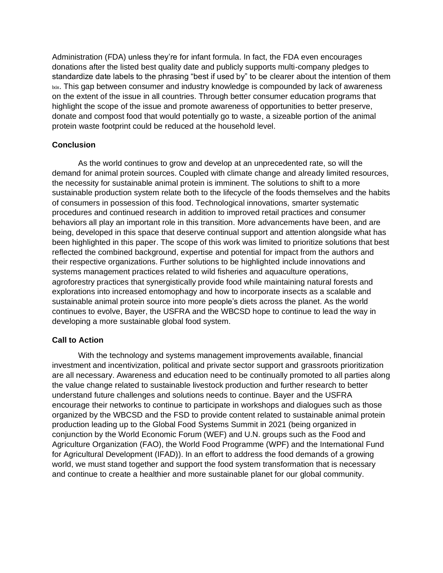Administration (FDA) unless they're for infant formula. In fact, the FDA even encourages donations after the listed best quality date and publicly supports multi-company pledges to standardize date labels to the phrasing "best if used by" to be clearer about the intention of them lxix. This gap between consumer and industry knowledge is compounded by lack of awareness on the extent of the issue in all countries. Through better consumer education programs that highlight the scope of the issue and promote awareness of opportunities to better preserve, donate and compost food that would potentially go to waste, a sizeable portion of the animal protein waste footprint could be reduced at the household level.

# **Conclusion**

As the world continues to grow and develop at an unprecedented rate, so will the demand for animal protein sources. Coupled with climate change and already limited resources, the necessity for sustainable animal protein is imminent. The solutions to shift to a more sustainable production system relate both to the lifecycle of the foods themselves and the habits of consumers in possession of this food. Technological innovations, smarter systematic procedures and continued research in addition to improved retail practices and consumer behaviors all play an important role in this transition. More advancements have been, and are being, developed in this space that deserve continual support and attention alongside what has been highlighted in this paper. The scope of this work was limited to prioritize solutions that best reflected the combined background, expertise and potential for impact from the authors and their respective organizations. Further solutions to be highlighted include innovations and systems management practices related to wild fisheries and aquaculture operations, agroforestry practices that synergistically provide food while maintaining natural forests and explorations into increased entomophagy and how to incorporate insects as a scalable and sustainable animal protein source into more people's diets across the planet. As the world continues to evolve, Bayer, the USFRA and the WBCSD hope to continue to lead the way in developing a more sustainable global food system.

## **Call to Action**

With the technology and systems management improvements available, financial investment and incentivization, political and private sector support and grassroots prioritization are all necessary. Awareness and education need to be continually promoted to all parties along the value change related to sustainable livestock production and further research to better understand future challenges and solutions needs to continue. Bayer and the USFRA encourage their networks to continue to participate in workshops and dialogues such as those organized by the WBCSD and the FSD to provide content related to sustainable animal protein production leading up to the Global Food Systems Summit in 2021 (being organized in conjunction by the World Economic Forum (WEF) and U.N. groups such as the Food and Agriculture Organization (FAO), the World Food Programme (WPF) and the International Fund for Agricultural Development (IFAD)). In an effort to address the food demands of a growing world, we must stand together and support the food system transformation that is necessary and continue to create a healthier and more sustainable planet for our global community.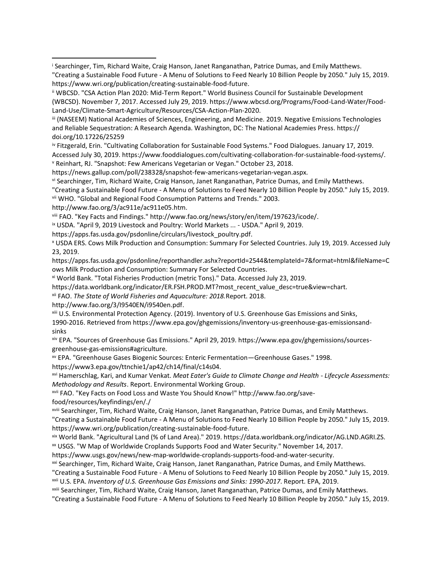<sup>i</sup> Searchinger, Tim, Richard Waite, Craig Hanson, Janet Ranganathan, Patrice Dumas, and Emily Matthews. "Creating a Sustainable Food Future - A Menu of Solutions to Feed Nearly 10 Billion People by 2050." July 15, 2019. https://www.wri.org/publication/creating-sustainable-food-future.

iii (NASEEM) National Academies of Sciences, Engineering, and Medicine. 2019. Negative Emissions Technologies and Reliable Sequestration: A Research Agenda. Washington, DC: The National Academies Press. https:// doi.org/10.17226/25259

iv Fitzgerald, Erin. "Cultivating Collaboration for Sustainable Food Systems." Food Dialogues. January 17, 2019.

Accessed July 30, 2019. https://www.fooddialogues.com/cultivating-collaboration-for-sustainable-food-systems/.

<sup>v</sup> Reinhart, RJ. "Snapshot: Few Americans Vegetarian or Vegan." October 23, 2018.

https://news.gallup.com/poll/238328/snapshot-few-americans-vegetarian-vegan.aspx.

vi Searchinger, Tim, Richard Waite, Craig Hanson, Janet Ranganathan, Patrice Dumas, and Emily Matthews.

```
"Creating a Sustainable Food Future - A Menu of Solutions to Feed Nearly 10 Billion People by 2050." July 15, 2019.
```
vii WHO. "Global and Regional Food Consumption Patterns and Trends." 2003.

http://www.fao.org/3/ac911e/ac911e05.htm.

viii FAO. "Key Facts and Findings." http://www.fao.org/news/story/en/item/197623/icode/.

ix USDA. "April 9, 2019 Livestock and Poultry: World Markets ... - USDA." April 9, 2019.

https://apps.fas.usda.gov/psdonline/circulars/livestock\_poultry.pdf.

<sup>x</sup> USDA ERS. Cows Milk Production and Consumption: Summary For Selected Countries. July 19, 2019. Accessed July 23, 2019.

https://apps.fas.usda.gov/psdonline/reporthandler.ashx?reportId=2544&templateId=7&format=html&fileName=C ows Milk Production and Consumption: Summary For Selected Countries.

xi World Bank. "Total Fisheries Production (metric Tons)." Data. Accessed July 23, 2019.

https://data.worldbank.org/indicator/ER.FSH.PROD.MT?most\_recent\_value\_desc=true&view=chart.

xii FAO. *The State of World Fisheries and Aquaculture: 2018.*Report. 2018.

http://www.fao.org/3/I9540EN/i9540en.pdf.

xiii U.S. Environmental Protection Agency. (2019). Inventory of U.S. Greenhouse Gas Emissions and Sinks,

1990-2016. Retrieved from https://www.epa.gov/ghgemissions/inventory-us-greenhouse-gas-emissionsandsinks

xiv EPA. "Sources of Greenhouse Gas Emissions." April 29, 2019. https://www.epa.gov/ghgemissions/sourcesgreenhouse-gas-emissions#agriculture.

xv EPA. "Greenhouse Gases Biogenic Sources: Enteric Fermentation—Greenhouse Gases." 1998.

https://www3.epa.gov/ttnchie1/ap42/ch14/final/c14s04.

xvi Hamerschlag, Kari, and Kumar Venkat. *Meat Eater's Guide to Climate Change and Health - Lifecycle Assessments: Methodology and Results*. Report. Environmental Working Group.

xvii FAO. "Key Facts on Food Loss and Waste You Should Know!" http://www.fao.org/savefood/resources/keyfindings/en/./

xviii Searchinger, Tim, Richard Waite, Craig Hanson, Janet Ranganathan, Patrice Dumas, and Emily Matthews.

"Creating a Sustainable Food Future - A Menu of Solutions to Feed Nearly 10 Billion People by 2050." July 15, 2019. https://www.wri.org/publication/creating-sustainable-food-future.

xix World Bank. "Agricultural Land (% of Land Area)." 2019. https://data.worldbank.org/indicator/AG.LND.AGRI.ZS.

xx USGS. "W Map of Worldwide Croplands Supports Food and Water Security." November 14, 2017.

https://www.usgs.gov/news/new-map-worldwide-croplands-supports-food-and-water-security.

<sup>xxi</sup> Searchinger, Tim, Richard Waite, Craig Hanson, Janet Ranganathan, Patrice Dumas, and Emily Matthews.

"Creating a Sustainable Food Future - A Menu of Solutions to Feed Nearly 10 Billion People by 2050." July 15, 2019. xxii U.S. EPA. *Inventory of U.S. Greenhouse Gas Emissions and Sinks: 1990-2017*. Report. EPA, 2019.

xxiii Searchinger, Tim, Richard Waite, Craig Hanson, Janet Ranganathan, Patrice Dumas, and Emily Matthews.

"Creating a Sustainable Food Future - A Menu of Solutions to Feed Nearly 10 Billion People by 2050." July 15, 2019.

ii WBCSD. "CSA Action Plan 2020: Mid-Term Report." World Business Council for Sustainable Development (WBCSD). November 7, 2017. Accessed July 29, 2019. https://www.wbcsd.org/Programs/Food-Land-Water/Food-Land-Use/Climate-Smart-Agriculture/Resources/CSA-Action-Plan-2020.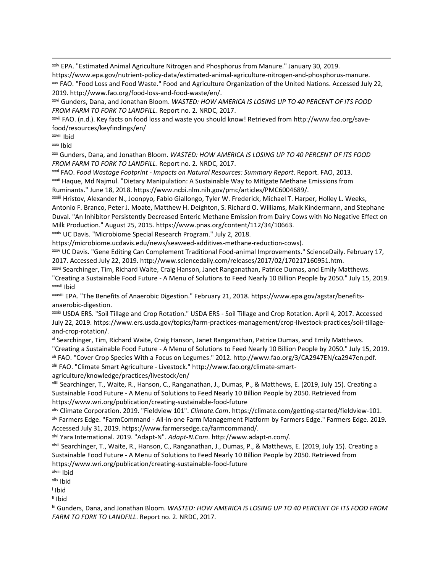xxiv EPA. "Estimated Animal Agriculture Nitrogen and Phosphorus from Manure." January 30, 2019. https://www.epa.gov/nutrient-policy-data/estimated-animal-agriculture-nitrogen-and-phosphorus-manure. xxv FAO. "Food Loss and Food Waste." Food and Agriculture Organization of the United Nations. Accessed July 22,

2019. http://www.fao.org/food-loss-and-food-waste/en/.

xxvi Gunders, Dana, and Jonathan Bloom. *WASTED: HOW AMERICA IS LOSING UP TO 40 PERCENT OF ITS FOOD FROM FARM TO FORK TO LANDFILL*. Report no. 2. NRDC, 2017.

xxvii FAO. (n.d.). Key facts on food loss and waste you should know! Retrieved from http://www.fao.org/savefood/resources/keyfindings/en/

xxviii Ibid

xxix Ibid

xxx Gunders, Dana, and Jonathan Bloom. *WASTED: HOW AMERICA IS LOSING UP TO 40 PERCENT OF ITS FOOD FROM FARM TO FORK TO LANDFILL*. Report no. 2. NRDC, 2017.

xxxi FAO. *Food Wastage Footprint - Impacts on Natural Resources: Summary Report*. Report. FAO, 2013. xxxii Haque, Md Najmul. "Dietary Manipulation: A Sustainable Way to Mitigate Methane Emissions from Ruminants." June 18, 2018. https://www.ncbi.nlm.nih.gov/pmc/articles/PMC6004689/.

xxxiii Hristov, Alexander N., Joonpyo, Fabio Giallongo, Tyler W. Frederick, Michael T. Harper, Holley L. Weeks, Antonio F. Branco, Peter J. Moate, Matthew H. Deighton, S. Richard O. Williams, Maik Kindermann, and Stephane Duval. "An Inhibitor Persistently Decreased Enteric Methane Emission from Dairy Cows with No Negative Effect on Milk Production." August 25, 2015. https://www.pnas.org/content/112/34/10663.

xxxiv UC Davis. "Microbiome Special Research Program." July 2, 2018.

https://microbiome.ucdavis.edu/news/seaweed-additives-methane-reduction-cows).

xxxv UC Davis. "Gene Editing Can Complement Traditional Food-animal Improvements." ScienceDaily. February 17, 2017. Accessed July 22, 2019. http://www.sciencedaily.com/releases/2017/02/170217160951.htm.

xxxvi Searchinger, Tim, Richard Waite, Craig Hanson, Janet Ranganathan, Patrice Dumas, and Emily Matthews. "Creating a Sustainable Food Future - A Menu of Solutions to Feed Nearly 10 Billion People by 2050." July 15, 2019. xxxvii Ibid

xxxviii EPA. "The Benefits of Anaerobic Digestion." February 21, 2018. https://www.epa.gov/agstar/benefitsanaerobic-digestion.

xxxix USDA ERS. "Soil Tillage and Crop Rotation." USDA ERS - Soil Tillage and Crop Rotation. April 4, 2017. Accessed July 22, 2019. https://www.ers.usda.gov/topics/farm-practices-management/crop-livestock-practices/soil-tillageand-crop-rotation/.

xl Searchinger, Tim, Richard Waite, Craig Hanson, Janet Ranganathan, Patrice Dumas, and Emily Matthews. "Creating a Sustainable Food Future - A Menu of Solutions to Feed Nearly 10 Billion People by 2050." July 15, 2019. xli FAO. "Cover Crop Species With a Focus on Legumes." 2012. http://www.fao.org/3/CA2947EN/ca2947en.pdf.

xlii FAO. "Climate Smart Agriculture - Livestock." http://www.fao.org/climate-smart-

agriculture/knowledge/practices/livestock/en/

xliii Searchinger, T., Waite, R., Hanson, C., Ranganathan, J., Dumas, P., & Matthews, E. (2019, July 15). Creating a Sustainable Food Future - A Menu of Solutions to Feed Nearly 10 Billion People by 2050. Retrieved from https://www.wri.org/publication/creating-sustainable-food-future

xliv Climate Corporation. 2019. "Fieldview 101". *Climate.Com*. https://climate.com/getting-started/fieldview-101. xlv Farmers Edge. "FarmCommand - All-in-one Farm Management Platform by Farmers Edge." Farmers Edge. 2019. Accessed July 31, 2019. https://www.farmersedge.ca/farmcommand/.

xlvi Yara International. 2019. "Adapt-N". *Adapt-N.Com*. http://www.adapt-n.com/.

xlvii Searchinger, T., Waite, R., Hanson, C., Ranganathan, J., Dumas, P., & Matthews, E. (2019, July 15). Creating a Sustainable Food Future - A Menu of Solutions to Feed Nearly 10 Billion People by 2050. Retrieved from https://www.wri.org/publication/creating-sustainable-food-future

xlviii Ibid

xlix Ibid

l Ibid

li Ibid

lii Gunders, Dana, and Jonathan Bloom. *WASTED: HOW AMERICA IS LOSING UP TO 40 PERCENT OF ITS FOOD FROM FARM TO FORK TO LANDFILL*. Report no. 2. NRDC, 2017.